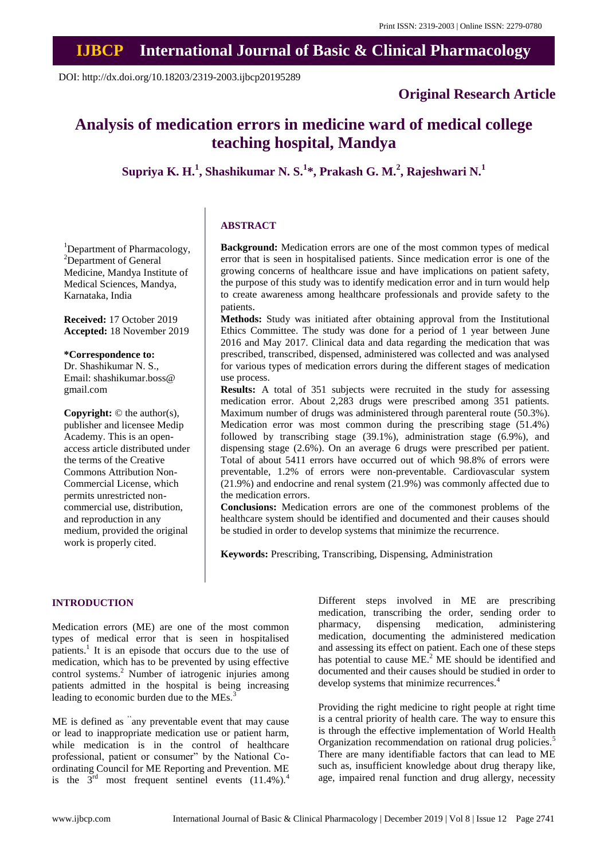## **IJBCP International Journal of Basic & Clinical Pharmacology**

DOI: http://dx.doi.org/10.18203/2319-2003.ijbcp20195289

<sup>1</sup>Department of Pharmacology, <sup>2</sup>Department of General Medicine, Mandya Institute of Medical Sciences, Mandya,

**Received:** 17 October 2019 **Accepted:** 18 November 2019

**Copyright:** © the author(s), publisher and licensee Medip Academy. This is an openaccess article distributed under the terms of the Creative Commons Attribution Non-Commercial License, which permits unrestricted noncommercial use, distribution, and reproduction in any medium, provided the original work is properly cited.

**\*Correspondence to:** Dr. Shashikumar N. S., Email: shashikumar.boss@

gmail.com

Karnataka, India

### **Original Research Article**

# **Analysis of medication errors in medicine ward of medical college teaching hospital, Mandya**

**Supriya K. H.<sup>1</sup> , Shashikumar N. S.<sup>1</sup> \*, Prakash G. M.<sup>2</sup> , Rajeshwari N.<sup>1</sup>**

#### **ABSTRACT**

**Background:** Medication errors are one of the most common types of medical error that is seen in hospitalised patients. Since medication error is one of the growing concerns of healthcare issue and have implications on patient safety, the purpose of this study was to identify medication error and in turn would help to create awareness among healthcare professionals and provide safety to the patients.

**Methods:** Study was initiated after obtaining approval from the Institutional Ethics Committee. The study was done for a period of 1 year between June 2016 and May 2017. Clinical data and data regarding the medication that was prescribed, transcribed, dispensed, administered was collected and was analysed for various types of medication errors during the different stages of medication use process.

**Results:** A total of 351 subjects were recruited in the study for assessing medication error. About 2,283 drugs were prescribed among 351 patients. Maximum number of drugs was administered through parenteral route (50.3%). Medication error was most common during the prescribing stage (51.4%) followed by transcribing stage (39.1%), administration stage (6.9%), and dispensing stage (2.6%). On an average 6 drugs were prescribed per patient. Total of about 5411 errors have occurred out of which 98.8% of errors were preventable, 1.2% of errors were non-preventable. Cardiovascular system (21.9%) and endocrine and renal system (21.9%) was commonly affected due to the medication errors.

**Conclusions:** Medication errors are one of the commonest problems of the healthcare system should be identified and documented and their causes should be studied in order to develop systems that minimize the recurrence.

**Keywords:** Prescribing, Transcribing, Dispensing, Administration

#### **INTRODUCTION**

Medication errors (ME) are one of the most common types of medical error that is seen in hospitalised patients.<sup>1</sup> It is an episode that occurs due to the use of medication, which has to be prevented by using effective control systems.<sup>2</sup> Number of iatrogenic injuries among patients admitted in the hospital is being increasing leading to economic burden due to the MEs.<sup>3</sup>

ME is defined as ''any preventable event that may cause or lead to inappropriate medication use or patient harm, while medication is in the control of healthcare professional, patient or consumer" by the National Coordinating Council for ME Reporting and Prevention. ME is the  $3<sup>rd</sup>$  most frequent sentinel events  $(11.4\%)$ .<sup>4</sup>

Different steps involved in ME are prescribing medication, transcribing the order, sending order to pharmacy, dispensing medication, administering medication, documenting the administered medication and assessing its effect on patient. Each one of these steps has potential to cause  $ME<sup>2</sup> ME$  should be identified and documented and their causes should be studied in order to develop systems that minimize recurrences.<sup>4</sup>

Providing the right medicine to right people at right time is a central priority of health care. The way to ensure this is through the effective implementation of World Health Organization recommendation on rational drug policies.<sup>5</sup> There are many identifiable factors that can lead to ME such as, insufficient knowledge about drug therapy like, age, impaired renal function and drug allergy, necessity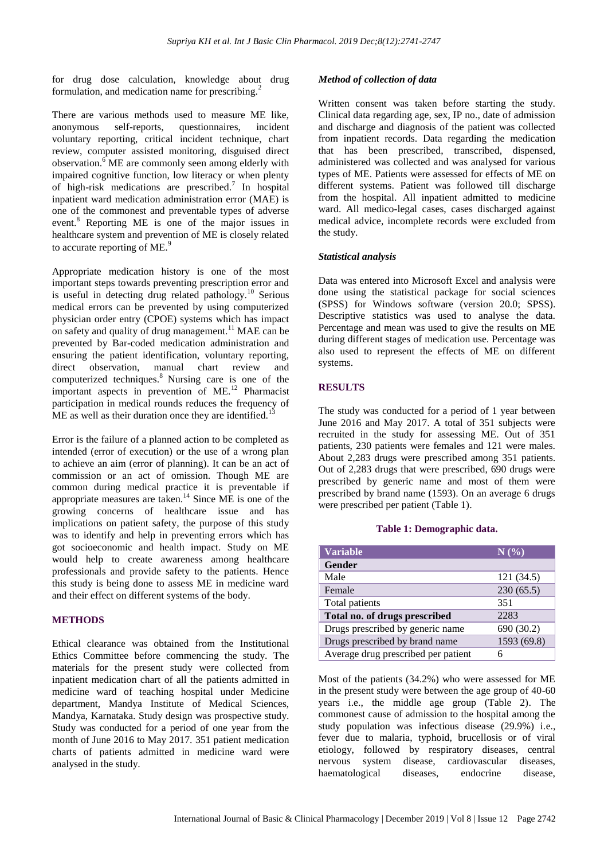for drug dose calculation, knowledge about drug formulation, and medication name for prescribing.<sup>2</sup>

There are various methods used to measure ME like, anonymous self-reports, questionnaires, incident voluntary reporting, critical incident technique, chart review, computer assisted monitoring, disguised direct observation.<sup>6</sup> ME are commonly seen among elderly with impaired cognitive function, low literacy or when plenty of high-risk medications are prescribed.<sup>7</sup> In hospital inpatient ward medication administration error (MAE) is one of the commonest and preventable types of adverse event.<sup>8</sup> Reporting ME is one of the major issues in healthcare system and prevention of ME is closely related to accurate reporting of ME.<sup>9</sup>

Appropriate medication history is one of the most important steps towards preventing prescription error and is useful in detecting drug related pathology.<sup>10</sup> Serious medical errors can be prevented by using computerized physician order entry (CPOE) systems which has impact on safety and quality of drug management.<sup>11</sup> MAE can be prevented by Bar-coded medication administration and ensuring the patient identification, voluntary reporting, direct observation, manual chart review and computerized techniques.<sup>8</sup> Nursing care is one of the important aspects in prevention of ME.<sup>12</sup> Pharmacist participation in medical rounds reduces the frequency of  $ME$  as well as their duration once they are identified.<sup>13</sup>

Error is the failure of a planned action to be completed as intended (error of execution) or the use of a wrong plan to achieve an aim (error of planning). It can be an act of commission or an act of omission. Though ME are common during medical practice it is preventable if appropriate measures are taken.<sup>14</sup> Since ME is one of the growing concerns of healthcare issue and has implications on patient safety, the purpose of this study was to identify and help in preventing errors which has got socioeconomic and health impact. Study on ME would help to create awareness among healthcare professionals and provide safety to the patients. Hence this study is being done to assess ME in medicine ward and their effect on different systems of the body.

#### **METHODS**

Ethical clearance was obtained from the Institutional Ethics Committee before commencing the study. The materials for the present study were collected from inpatient medication chart of all the patients admitted in medicine ward of teaching hospital under Medicine department, Mandya Institute of Medical Sciences, Mandya, Karnataka. Study design was prospective study. Study was conducted for a period of one year from the month of June 2016 to May 2017. 351 patient medication charts of patients admitted in medicine ward were analysed in the study.

#### *Method of collection of data*

Written consent was taken before starting the study. Clinical data regarding age, sex, IP no., date of admission and discharge and diagnosis of the patient was collected from inpatient records. Data regarding the medication that has been prescribed, transcribed, dispensed, administered was collected and was analysed for various types of ME. Patients were assessed for effects of ME on different systems. Patient was followed till discharge from the hospital. All inpatient admitted to medicine ward. All medico-legal cases, cases discharged against medical advice, incomplete records were excluded from the study.

#### *Statistical analysis*

Data was entered into Microsoft Excel and analysis were done using the statistical package for social sciences (SPSS) for Windows software (version 20.0; SPSS). Descriptive statistics was used to analyse the data. Percentage and mean was used to give the results on ME during different stages of medication use. Percentage was also used to represent the effects of ME on different systems.

#### **RESULTS**

The study was conducted for a period of 1 year between June 2016 and May 2017. A total of 351 subjects were recruited in the study for assessing ME. Out of 351 patients, 230 patients were females and 121 were males. About 2,283 drugs were prescribed among 351 patients. Out of 2,283 drugs that were prescribed, 690 drugs were prescribed by generic name and most of them were prescribed by brand name (1593). On an average 6 drugs were prescribed per patient (Table 1).

#### **Table 1: Demographic data.**

| <b>Variable</b>                     | N(%)       |
|-------------------------------------|------------|
| Gender                              |            |
| Male                                | 121(34.5)  |
| Female                              | 230(65.5)  |
| Total patients                      | 351        |
| Total no. of drugs prescribed       | 2283       |
| Drugs prescribed by generic name    | 690 (30.2) |
| Drugs prescribed by brand name      | 1593(69.8) |
| Average drug prescribed per patient |            |

Most of the patients (34.2%) who were assessed for ME in the present study were between the age group of 40-60 years i.e., the middle age group (Table 2). The commonest cause of admission to the hospital among the study population was infectious disease (29.9%) i.e., fever due to malaria, typhoid, brucellosis or of viral etiology, followed by respiratory diseases, central nervous system disease, cardiovascular diseases, haematological diseases, endocrine disease,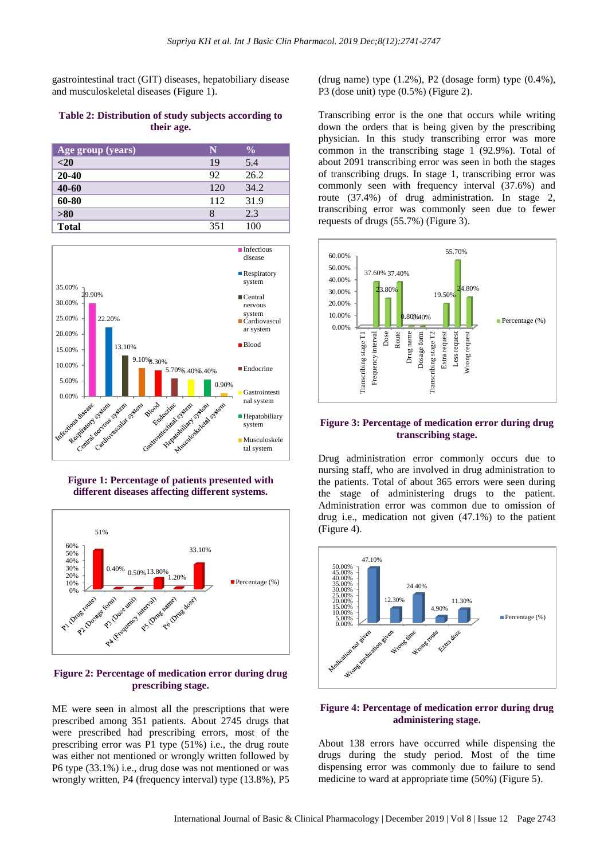gastrointestinal tract (GIT) diseases, hepatobiliary disease and musculoskeletal diseases (Figure 1).

#### **Table 2: Distribution of study subjects according to their age.**

| Age group (years) | N   | $\frac{0}{0}$ |
|-------------------|-----|---------------|
| $<$ 20            | 19  | 5.4           |
| $20 - 40$         | 92  | 26.2          |
| 40-60             | 120 | 34.2          |
| 60-80             | 112 | 31.9          |
| >80               | 8   | 2.3           |
| <b>Total</b>      | 351 | 100           |



**Figure 1: Percentage of patients presented with different diseases affecting different systems.**



#### **Figure 2: Percentage of medication error during drug prescribing stage.**

ME were seen in almost all the prescriptions that were prescribed among 351 patients. About 2745 drugs that were prescribed had prescribing errors, most of the prescribing error was P1 type (51%) i.e., the drug route was either not mentioned or wrongly written followed by P6 type (33.1%) i.e., drug dose was not mentioned or was wrongly written, P4 (frequency interval) type (13.8%), P5 (drug name) type  $(1.2\%)$ , P2 (dosage form) type  $(0.4\%)$ , P3 (dose unit) type (0.5%) (Figure 2).

Transcribing error is the one that occurs while writing down the orders that is being given by the prescribing physician. In this study transcribing error was more common in the transcribing stage 1 (92.9%). Total of about 2091 transcribing error was seen in both the stages of transcribing drugs. In stage 1, transcribing error was commonly seen with frequency interval (37.6%) and route (37.4%) of drug administration. In stage 2, transcribing error was commonly seen due to fewer requests of drugs (55.7%) (Figure 3).



#### **Figure 3: Percentage of medication error during drug transcribing stage.**

Drug administration error commonly occurs due to nursing staff, who are involved in drug administration to the patients. Total of about 365 errors were seen during the stage of administering drugs to the patient. Administration error was common due to omission of drug i.e., medication not given (47.1%) to the patient (Figure 4).



#### **Figure 4: Percentage of medication error during drug administering stage.**

About 138 errors have occurred while dispensing the drugs during the study period. Most of the time dispensing error was commonly due to failure to send medicine to ward at appropriate time (50%) (Figure 5).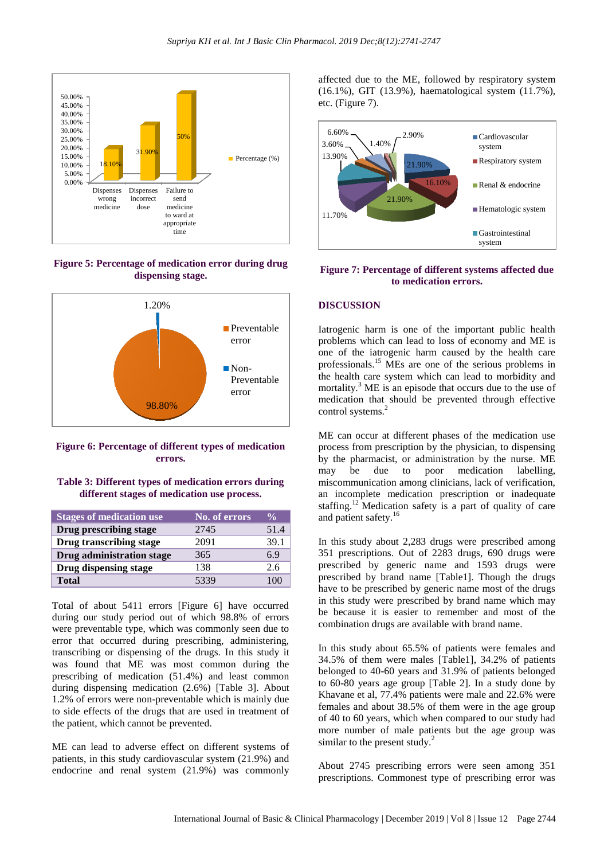

**Figure 5: Percentage of medication error during drug dispensing stage.**



**Figure 6: Percentage of different types of medication errors.**

#### **Table 3: Different types of medication errors during different stages of medication use process.**

| <b>Stages of medication use</b> | No. of errors | $\frac{6}{10}$ |
|---------------------------------|---------------|----------------|
| Drug prescribing stage          | 2745          | 51.4           |
| Drug transcribing stage         | 2091          | 39.1           |
| Drug administration stage       | 365           | 6.9            |
| Drug dispensing stage           | 138           | 2.6            |
| <b>Total</b>                    | 5339          | 100            |

Total of about 5411 errors [Figure 6] have occurred during our study period out of which 98.8% of errors were preventable type, which was commonly seen due to error that occurred during prescribing, administering, transcribing or dispensing of the drugs. In this study it was found that ME was most common during the prescribing of medication (51.4%) and least common during dispensing medication (2.6%) [Table 3]. About 1.2% of errors were non-preventable which is mainly due to side effects of the drugs that are used in treatment of the patient, which cannot be prevented.

ME can lead to adverse effect on different systems of patients, in this study cardiovascular system (21.9%) and endocrine and renal system (21.9%) was commonly affected due to the ME, followed by respiratory system (16.1%), GIT (13.9%), haematological system (11.7%), etc. (Figure 7).



#### **Figure 7: Percentage of different systems affected due to medication errors.**

#### **DISCUSSION**

Iatrogenic harm is one of the important public health problems which can lead to loss of economy and ME is one of the iatrogenic harm caused by the health care professionals.<sup>15</sup> MEs are one of the serious problems in the health care system which can lead to morbidity and mortality.<sup>3</sup> ME is an episode that occurs due to the use of medication that should be prevented through effective control systems.<sup>2</sup>

ME can occur at different phases of the medication use process from prescription by the physician, to dispensing by the pharmacist, or administration by the nurse. ME may be due to poor medication labelling, miscommunication among clinicians, lack of verification, an incomplete medication prescription or inadequate staffing.<sup>12</sup> Medication safety is a part of quality of care and patient safety.<sup>16</sup>

In this study about 2,283 drugs were prescribed among 351 prescriptions. Out of 2283 drugs, 690 drugs were prescribed by generic name and 1593 drugs were prescribed by brand name [Table1]. Though the drugs have to be prescribed by generic name most of the drugs in this study were prescribed by brand name which may be because it is easier to remember and most of the combination drugs are available with brand name.

In this study about 65.5% of patients were females and 34.5% of them were males [Table1], 34.2% of patients belonged to 40-60 years and 31.9% of patients belonged to 60-80 years age group [Table 2]. In a study done by Khavane et al, 77.4% patients were male and 22.6% were females and about 38.5% of them were in the age group of 40 to 60 years, which when compared to our study had more number of male patients but the age group was similar to the present study. $^{2}$ 

About 2745 prescribing errors were seen among 351 prescriptions. Commonest type of prescribing error was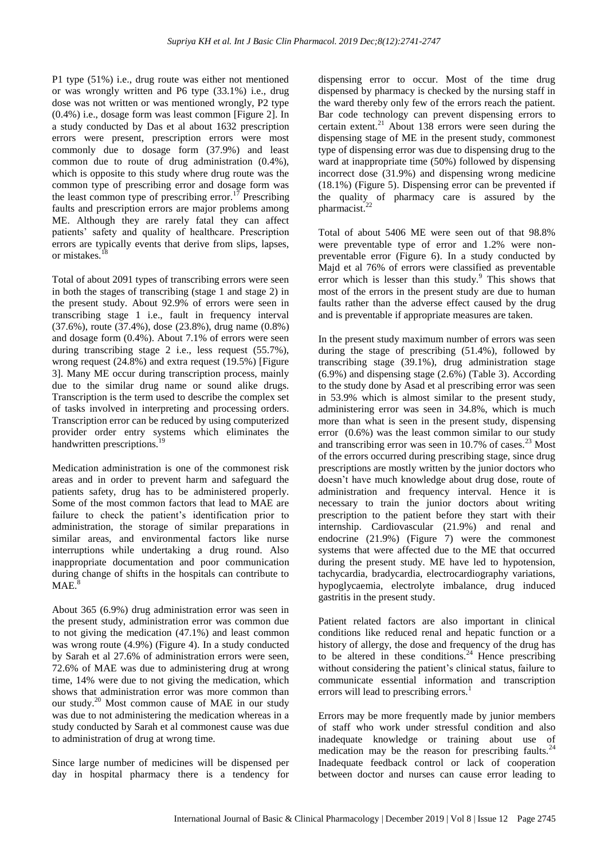P1 type (51%) i.e., drug route was either not mentioned or was wrongly written and P6 type (33.1%) i.e., drug dose was not written or was mentioned wrongly, P2 type (0.4%) i.e., dosage form was least common [Figure 2]. In a study conducted by Das et al about 1632 prescription errors were present, prescription errors were most commonly due to dosage form (37.9%) and least common due to route of drug administration (0.4%), which is opposite to this study where drug route was the common type of prescribing error and dosage form was the least common type of prescribing error.<sup>17</sup> Prescribing faults and prescription errors are major problems among ME. Although they are rarely fatal they can affect patients' safety and quality of healthcare. Prescription errors are typically events that derive from slips, lapses, or mistakes.

Total of about 2091 types of transcribing errors were seen in both the stages of transcribing (stage 1 and stage 2) in the present study. About 92.9% of errors were seen in transcribing stage 1 i.e., fault in frequency interval (37.6%), route (37.4%), dose (23.8%), drug name (0.8%) and dosage form (0.4%). About 7.1% of errors were seen during transcribing stage 2 i.e., less request (55.7%), wrong request (24.8%) and extra request (19.5%) [Figure 3]. Many ME occur during transcription process, mainly due to the similar drug name or sound alike drugs. Transcription is the term used to describe the complex set of tasks involved in interpreting and processing orders. Transcription error can be reduced by using computerized provider order entry systems which eliminates the handwritten prescriptions.<sup>19</sup>

Medication administration is one of the commonest risk areas and in order to prevent harm and safeguard the patients safety, drug has to be administered properly. Some of the most common factors that lead to MAE are failure to check the patient's identification prior to administration, the storage of similar preparations in similar areas, and environmental factors like nurse interruptions while undertaking a drug round. Also inappropriate documentation and poor communication during change of shifts in the hospitals can contribute to MAE.

About 365 (6.9%) drug administration error was seen in the present study, administration error was common due to not giving the medication (47.1%) and least common was wrong route (4.9%) (Figure 4). In a study conducted by Sarah et al 27.6% of administration errors were seen, 72.6% of MAE was due to administering drug at wrong time, 14% were due to not giving the medication, which shows that administration error was more common than our study.<sup>20</sup> Most common cause of MAE in our study was due to not administering the medication whereas in a study conducted by Sarah et al commonest cause was due to administration of drug at wrong time.

Since large number of medicines will be dispensed per day in hospital pharmacy there is a tendency for

dispensing error to occur. Most of the time drug dispensed by pharmacy is checked by the nursing staff in the ward thereby only few of the errors reach the patient. Bar code technology can prevent dispensing errors to certain extent.<sup>21</sup> About 138 errors were seen during the dispensing stage of ME in the present study, commonest type of dispensing error was due to dispensing drug to the ward at inappropriate time (50%) followed by dispensing incorrect dose (31.9%) and dispensing wrong medicine (18.1%) (Figure 5). Dispensing error can be prevented if the quality of pharmacy care is assured by the pharmacist.<sup>22</sup>

Total of about 5406 ME were seen out of that 98.8% were preventable type of error and 1.2% were nonpreventable error (Figure 6). In a study conducted by Majd et al 76% of errors were classified as preventable error which is lesser than this study.<sup>9</sup> This shows that most of the errors in the present study are due to human faults rather than the adverse effect caused by the drug and is preventable if appropriate measures are taken.

In the present study maximum number of errors was seen during the stage of prescribing (51.4%), followed by transcribing stage (39.1%), drug administration stage (6.9%) and dispensing stage (2.6%) (Table 3). According to the study done by Asad et al prescribing error was seen in 53.9% which is almost similar to the present study, administering error was seen in 34.8%, which is much more than what is seen in the present study, dispensing error (0.6%) was the least common similar to our study and transcribing error was seen in  $10.7\%$  of cases.<sup>23</sup> Most of the errors occurred during prescribing stage, since drug prescriptions are mostly written by the junior doctors who doesn't have much knowledge about drug dose, route of administration and frequency interval. Hence it is necessary to train the junior doctors about writing prescription to the patient before they start with their internship. Cardiovascular (21.9%) and renal and endocrine (21.9%) (Figure 7) were the commonest systems that were affected due to the ME that occurred during the present study. ME have led to hypotension, tachycardia, bradycardia, electrocardiography variations, hypoglycaemia, electrolyte imbalance, drug induced gastritis in the present study.

Patient related factors are also important in clinical conditions like reduced renal and hepatic function or a history of allergy, the dose and frequency of the drug has to be altered in these conditions.<sup>24</sup> Hence prescribing without considering the patient's clinical status, failure to communicate essential information and transcription errors will lead to prescribing errors.<sup>1</sup>

Errors may be more frequently made by junior members of staff who work under stressful condition and also inadequate knowledge or training about use of medication may be the reason for prescribing faults.<sup>24</sup> Inadequate feedback control or lack of cooperation between doctor and nurses can cause error leading to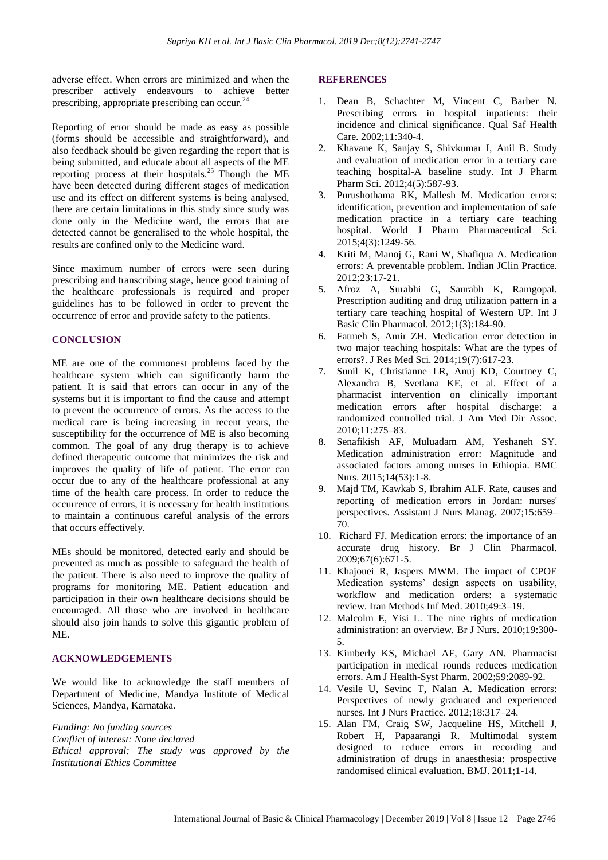adverse effect. When errors are minimized and when the prescriber actively endeavours to achieve better prescribing, appropriate prescribing can occur.<sup>24</sup>

Reporting of error should be made as easy as possible (forms should be accessible and straightforward), and also feedback should be given regarding the report that is being submitted, and educate about all aspects of the ME reporting process at their hospitals.<sup>25</sup> Though the ME have been detected during different stages of medication use and its effect on different systems is being analysed, there are certain limitations in this study since study was done only in the Medicine ward, the errors that are detected cannot be generalised to the whole hospital, the results are confined only to the Medicine ward.

Since maximum number of errors were seen during prescribing and transcribing stage, hence good training of the healthcare professionals is required and proper guidelines has to be followed in order to prevent the occurrence of error and provide safety to the patients.

#### **CONCLUSION**

ME are one of the commonest problems faced by the healthcare system which can significantly harm the patient. It is said that errors can occur in any of the systems but it is important to find the cause and attempt to prevent the occurrence of errors. As the access to the medical care is being increasing in recent years, the susceptibility for the occurrence of ME is also becoming common. The goal of any drug therapy is to achieve defined therapeutic outcome that minimizes the risk and improves the quality of life of patient. The error can occur due to any of the healthcare professional at any time of the health care process. In order to reduce the occurrence of errors, it is necessary for health institutions to maintain a continuous careful analysis of the errors that occurs effectively.

MEs should be monitored, detected early and should be prevented as much as possible to safeguard the health of the patient. There is also need to improve the quality of programs for monitoring ME. Patient education and participation in their own healthcare decisions should be encouraged. All those who are involved in healthcare should also join hands to solve this gigantic problem of ME.

#### **ACKNOWLEDGEMENTS**

We would like to acknowledge the staff members of Department of Medicine, Mandya Institute of Medical Sciences, Mandya, Karnataka.

*Funding: No funding sources Conflict of interest: None declared Ethical approval: The study was approved by the Institutional Ethics Committee*

#### **REFERENCES**

- 1. Dean B, Schachter M, Vincent C, Barber N. Prescribing errors in hospital inpatients: their incidence and clinical significance. Qual Saf Health Care. 2002;11:340-4.
- 2. Khavane K, Sanjay S, Shivkumar I, Anil B. Study and evaluation of medication error in a tertiary care teaching hospital-A baseline study. Int J Pharm Pharm Sci. 2012;4(5):587-93.
- 3. Purushothama RK, Mallesh M. Medication errors: identification, prevention and implementation of safe medication practice in a tertiary care teaching hospital. World J Pharm Pharmaceutical Sci. 2015;4(3):1249-56.
- 4. Kriti M, Manoj G, Rani W, Shafiqua A. Medication errors: A preventable problem. Indian JClin Practice. 2012;23:17-21.
- 5. Afroz A, Surabhi G, Saurabh K, Ramgopal. Prescription auditing and drug utilization pattern in a tertiary care teaching hospital of Western UP. Int J Basic Clin Pharmacol. 2012;1(3):184-90.
- 6. Fatmeh S, Amir ZH. Medication error detection in two major teaching hospitals: What are the types of errors?. J Res Med Sci. 2014;19(7):617-23.
- 7. Sunil K, Christianne LR, Anuj KD, Courtney C, Alexandra B, Svetlana KE, et al. Effect of a pharmacist intervention on clinically important medication errors after hospital discharge: a randomized controlled trial. J Am Med Dir Assoc. 2010;11:275–83.
- 8. Senafikish AF, Muluadam AM, Yeshaneh SY. Medication administration error: Magnitude and associated factors among nurses in Ethiopia. BMC Nurs. 2015;14(53):1-8.
- 9. Majd TM, Kawkab S, Ibrahim ALF. Rate, causes and reporting of medication errors in Jordan: nurses' perspectives. Assistant J Nurs Manag. 2007;15:659– 70.
- 10. Richard FJ. Medication errors: the importance of an accurate drug history. Br J Clin Pharmacol. 2009;67(6):671-5.
- 11. Khajouei R, Jaspers MWM. The impact of CPOE Medication systems' design aspects on usability, workflow and medication orders: a systematic review. Iran Methods Inf Med. 2010;49:3–19.
- 12. Malcolm E, Yisi L. The nine rights of medication administration: an overview. Br J Nurs. 2010;19:300- 5.
- 13. Kimberly KS, Michael AF, Gary AN. Pharmacist participation in medical rounds reduces medication errors. Am J Health-Syst Pharm. 2002;59:2089-92.
- 14. Vesile U, Sevinc T, Nalan A. Medication errors: Perspectives of newly graduated and experienced nurses. Int J Nurs Practice. 2012;18:317–24.
- 15. Alan FM, Craig SW, Jacqueline HS, Mitchell J, Robert H, Papaarangi R. Multimodal system designed to reduce errors in recording and administration of drugs in anaesthesia: prospective randomised clinical evaluation. BMJ. 2011;1-14.